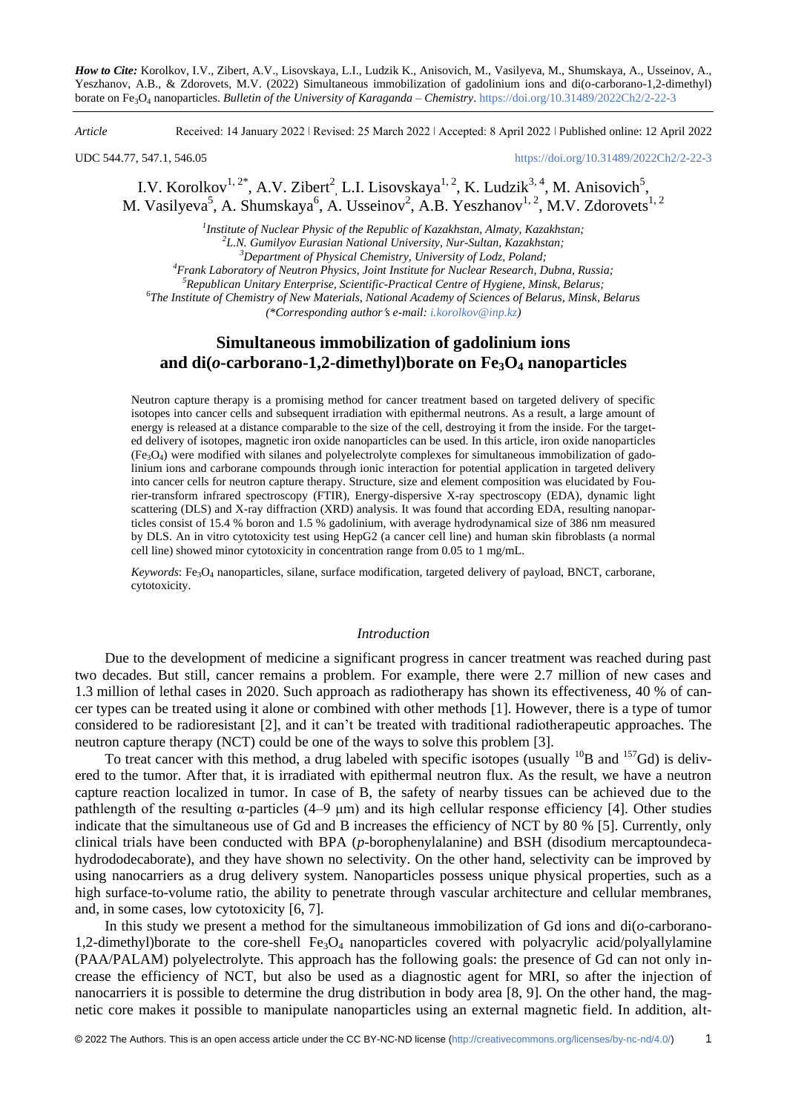*How to Cite:* Korolkov, I.V., Zibert, A.V., Lisovskaya, L.I., Ludzik K., Anisovich, M., Vasilyeva, M., Shumskaya, A., Usseinov, A., Yeszhanov, A.B., & Zdorovets, M.V. (2022) Simultaneous immobilization of gadolinium ions and di(o-carborano-1,2-dimethyl) borate on Fe3O<sup>4</sup> nanoparticles. *Bulletin of the University of Karaganda – Chemistry*. https://doi.org/10.31489/2022Ch2/2-22-3

*Article* Received: 14 January 2022 ǀ Revised: 25 March 2022 ǀ Accepted: 8 April 2022 ǀ Published online: 12 April 2022

UDC 544.77, 547.1, 546.05 <https://doi.org/10.31489/2022Ch2/2-22-3>

# I.V. Korolkov<sup>1, 2\*</sup>, A.V. Zibert<sup>2</sup>, L.I. Lisovskaya<sup>1, 2</sup>, K. Ludzik<sup>3, 4</sup>, M. Anisovich<sup>5</sup>, M. Vasilyeva<sup>5</sup>, A. Shumskaya<sup>6</sup>, A. Usseinov<sup>2</sup>, A.B. Yeszhanov<sup>1, 2</sup>, M.V. Zdorovets<sup>1, 2</sup>

*1 Institute of Nuclear Physic of the Republic of Kazakhstan, Almaty, Kazakhstan; 2 L.N. Gumilyov Eurasian National University, Nur-Sultan, Kazakhstan;*

*<sup>3</sup>Department of Physical Chemistry, University of Lodz, Poland;*

*<sup>4</sup>Frank Laboratory of Neutron Physics, Joint Institute for Nuclear Research, Dubna, Russia;*

*<sup>5</sup>Republican Unitary Enterprise, Scientific-Practical Centre of Hygiene, Minsk, Belarus;*

*6 The Institute of Chemistry of New Materials, National Academy of Sciences of Belarus, Minsk, Belarus*

*(\*Corresponding authors e-mail[: i.korolkov@inp.kz\)](mailto:i.korolkov@inp.kz)*

## **Simultaneous immobilization of gadolinium ions and di(***o***-carborano-1,2-dimethyl)borate on Fe3O<sup>4</sup> nanoparticles**

Neutron capture therapy is a promising method for cancer treatment based on targeted delivery of specific isotopes into cancer cells and subsequent irradiation with epithermal neutrons. As a result, a large amount of energy is released at a distance comparable to the size of the cell, destroying it from the inside. For the targeted delivery of isotopes, magnetic iron oxide nanoparticles can be used. In this article, iron oxide nanoparticles (Fe3O4) were modified with silanes and polyelectrolyte complexes for simultaneous immobilization of gadolinium ions and carborane compounds through ionic interaction for potential application in targeted delivery into cancer cells for neutron capture therapy. Structure, size and element composition was elucidated by Fourier-transform infrared spectroscopy (FTIR), Energy-dispersive X-ray spectroscopy (EDA), dynamic light scattering (DLS) and X-ray diffraction (XRD) analysis. It was found that according EDA, resulting nanoparticles consist of 15.4 % boron and 1.5 % gadolinium, with average hydrodynamical size of 386 nm measured by DLS. An in vitro cytotoxicity test using HepG2 (a cancer cell line) and human skin fibroblasts (a normal cell line) showed minor cytotoxicity in concentration range from 0.05 to 1 mg/mL.

*Keywords*: Fe<sub>3</sub>O<sub>4</sub> nanoparticles, silane, surface modification, targeted delivery of payload, BNCT, carborane, cytotoxicity.

### *Introduction*

Due to the development of medicine a significant progress in cancer treatment was reached during past two decades. But still, cancer remains a problem. For example, there were 2.7 million of new cases and 1.3 million of lethal cases in 2020. Such approach as radiotherapy has shown its effectiveness, 40 % of cancer types can be treated using it alone or combined with other methods [1]. However, there is a type of tumor considered to be radioresistant [2], and it can't be treated with traditional radiotherapeutic approaches. The neutron capture therapy (NCT) could be one of the ways to solve this problem [3].

To treat cancer with this method, a drug labeled with specific isotopes (usually  $^{10}B$  and  $^{157}Gd$ ) is delivered to the tumor. After that, it is irradiated with epithermal neutron flux. As the result, we have a neutron capture reaction localized in tumor. In case of B, the safety of nearby tissues can be achieved due to the pathlength of the resulting α-particles (4–9 μm) and its high cellular response efficiency [4]. Other studies indicate that the simultaneous use of Gd and B increases the efficiency of NCT by 80 % [5]. Currently, only clinical trials have been conducted with BPA (*p*-borophenylalanine) and BSH (disodium mercaptoundecahydrododecaborate), and they have shown no selectivity. On the other hand, selectivity can be improved by using nanocarriers as a drug delivery system. Nanoparticles possess unique physical properties, such as a high surface-to-volume ratio, the ability to penetrate through vascular architecture and cellular membranes, and, in some cases, low cytotoxicity [6, 7].

In this study we present a method for the simultaneous immobilization of Gd ions and  $di(\sigma$ -carborano-1,2-dimethyl)borate to the core-shell  $Fe<sub>3</sub>O<sub>4</sub>$  nanoparticles covered with polyacrylic acid/polyallylamine (PAA/PALAM) polyelectrolyte. This approach has the following goals: the presence of Gd can not only increase the efficiency of NCT, but also be used as a diagnostic agent for MRI, so after the injection of nanocarriers it is possible to determine the drug distribution in body area [8, 9]. On the other hand, the magnetic core makes it possible to manipulate nanoparticles using an external magnetic field. In addition, alt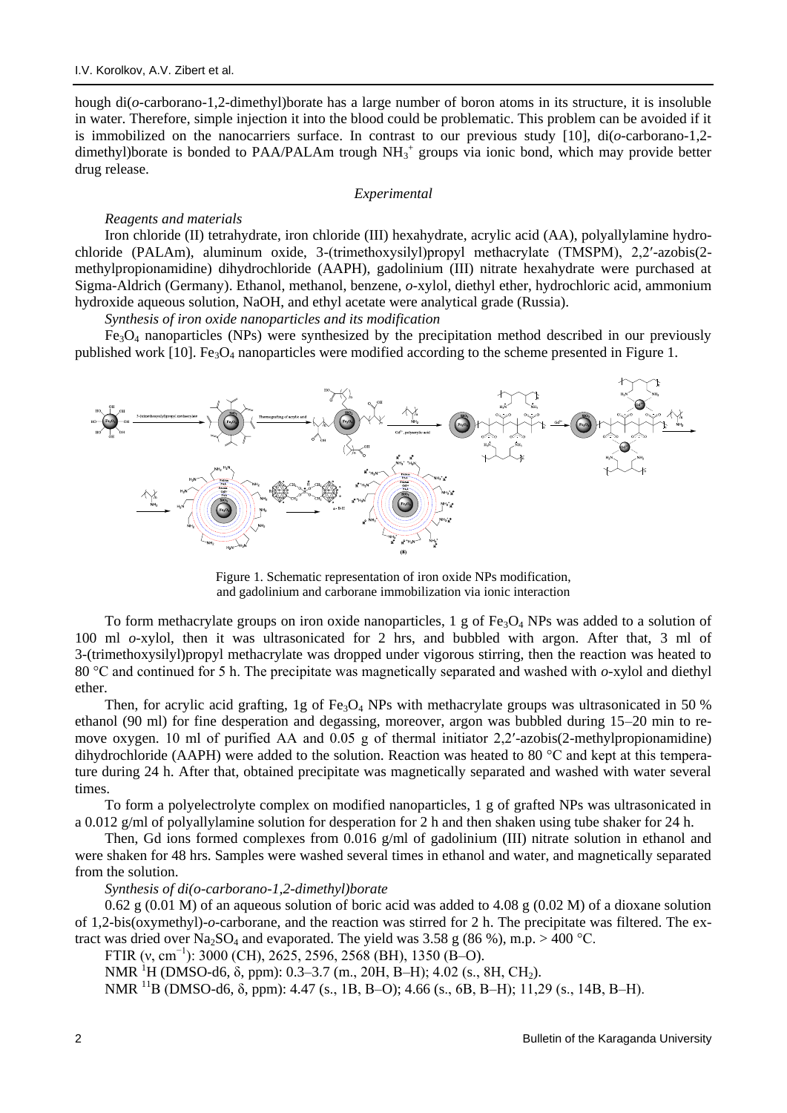hough di(*o*-carborano-1,2-dimethyl)borate has a large number of boron atoms in its structure, it is insoluble in water. Therefore, simple injection it into the blood could be problematic. This problem can be avoided if it is immobilized on the nanocarriers surface. In contrast to our previous study [10], di(*o*-carborano-1,2 dimethyl)borate is bonded to PAA/PALAm trough  $NH_3^+$  groups via ionic bond, which may provide better drug release.

### *Experimental*

### *Reagents and materials*

Iron chloride (II) tetrahydrate, iron chloride (III) hexahydrate, acrylic acid (AA), polyallylamine hydrochloride (PALAm), aluminum oxide, 3-(trimethoxysilyl)propyl methacrylate (TMSPM), 2,2′-azobis(2 methylpropionamidine) dihydrochloride (AAPH), gadolinium (III) nitrate hexahydrate were purchased at Sigma-Aldrich (Germany). Ethanol, methanol, benzene, *o*-xylol, diethyl ether, hydrochloric acid, ammonium hydroxide aqueous solution, NaOH, and ethyl acetate were analytical grade (Russia).

*Synthesis of iron oxide nanoparticles and its modification*

 $Fe<sub>3</sub>O<sub>4</sub>$  nanoparticles (NPs) were synthesized by the precipitation method described in our previously published work [10]. Fe<sub>3</sub>O<sub>4</sub> nanoparticles were modified according to the scheme presented in Figure 1.



Figure 1. Schematic representation of iron oxide NPs modification, and gadolinium and carborane immobilization via ionic interaction

To form methacrylate groups on iron oxide nanoparticles, 1 g of Fe<sub>3</sub>O<sub>4</sub> NPs was added to a solution of 100 ml *o*-xylol, then it was ultrasonicated for 2 hrs, and bubbled with argon. After that, 3 ml of 3-(trimethoxysilyl)propyl methacrylate was dropped under vigorous stirring, then the reaction was heated to 80 °C and continued for 5 h. The precipitate was magnetically separated and washed with *o*-xylol and diethyl ether.

Then, for acrylic acid grafting, 1g of  $Fe<sub>3</sub>O<sub>4</sub>$  NPs with methacrylate groups was ultrasonicated in 50 % ethanol (90 ml) for fine desperation and degassing, moreover, argon was bubbled during 15–20 min to remove oxygen. 10 ml of purified AA and 0.05 g of thermal initiator 2,2′-azobis(2-methylpropionamidine) dihydrochloride (AAPH) were added to the solution. Reaction was heated to 80 °C and kept at this temperature during 24 h. After that, obtained precipitate was magnetically separated and washed with water several times.

To form a polyelectrolyte complex on modified nanoparticles, 1 g of grafted NPs was ultrasonicated in a 0.012 g/ml of polyallylamine solution for desperation for 2 h and then shaken using tube shaker for 24 h.

Then, Gd ions formed complexes from 0.016 g/ml of gadolinium (III) nitrate solution in ethanol and were shaken for 48 hrs. Samples were washed several times in ethanol and water, and magnetically separated from the solution.

*Synthesis of di(o-carborano-1,2-dimethyl)borate*

0.62 g (0.01 M) of an aqueous solution of boric acid was added to 4.08 g (0.02 M) of a dioxane solution of 1,2-bis(oxymethyl)-*o*-carborane, and the reaction was stirred for 2 h. The precipitate was filtered. The extract was dried over Na<sub>2</sub>SO<sub>4</sub> and evaporated. The yield was 3.58 g (86 %), m.p.  $>$  400 °C.

FTIR (v, cm<sup>-1</sup>): 3000 (CH), 2625, 2596, 2568 (BH), 1350 (B-O).

NMR<sup>1</sup>H (DMSO-d6, δ, ppm): 0.3–3.7 (m., 20H, B–H); 4.02 (s., 8H, CH<sub>2</sub>).

NMR <sup>11</sup>B (DMSO-d6,  $\delta$ , ppm): 4.47 (s., 1B, B–O); 4.66 (s., 6B, B–H); 11,29 (s., 14B, B–H).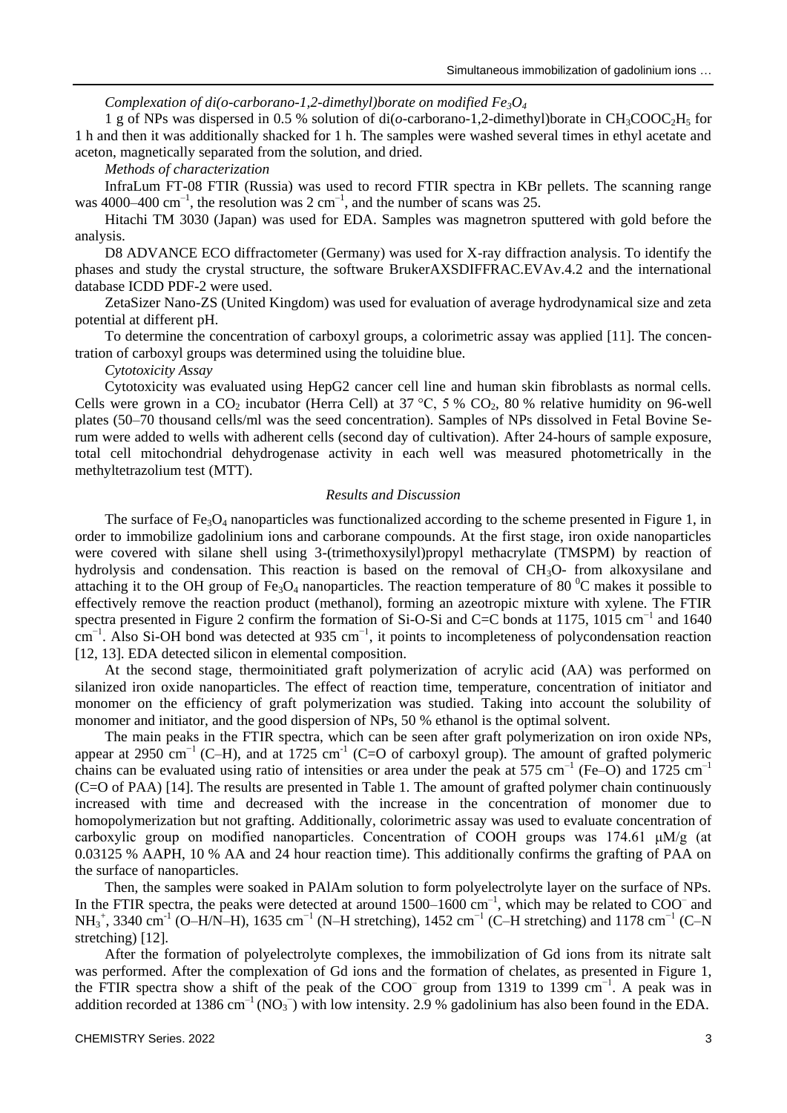### *Complexation of di(o-carborano-1,2-dimethyl)borate on modified Fe3O<sup>4</sup>*

1 g of NPs was dispersed in 0.5 % solution of di(*o*-carborano-1,2-dimethyl)borate in CH3COOC2H<sup>5</sup> for 1 h and then it was additionally shacked for 1 h. The samples were washed several times in ethyl acetate and aceton, magnetically separated from the solution, and dried.

### *Methods of characterization*

InfraLum FT-08 FTIR (Russia) was used to record FTIR spectra in KBr pellets. The scanning range was 4000–400 cm<sup>-1</sup>, the resolution was 2 cm<sup>-1</sup>, and the number of scans was 25.

Hitachi TM 3030 (Japan) was used for EDA. Samples was magnetron sputtered with gold before the analysis.

D8 ADVANCE ECO diffractometer (Germany) was used for X-ray diffraction analysis. To identify the phases and study the crystal structure, the software BrukerAXSDIFFRAC.EVAv.4.2 and the international database ICDD PDF-2 were used.

ZetaSizer Nano-ZS (United Kingdom) was used for evaluation of average hydrodynamical size and zeta potential at different pH.

To determine the concentration of carboxyl groups, a colorimetric assay was applied [11]. The concentration of carboxyl groups was determined using the toluidine blue.

*Cytotoxicity Assay*

Cytotoxicity was evaluated using HepG2 cancer cell line and human skin fibroblasts as normal cells. Cells were grown in a CO<sub>2</sub> incubator (Herra Cell) at 37 °C, 5 % CO<sub>2</sub>, 80 % relative humidity on 96-well plates (50–70 thousand cells/ml was the seed concentration). Samples of NPs dissolved in Fetal Bovine Serum were added to wells with adherent cells (second day of cultivation). After 24-hours of sample exposure, total cell mitochondrial dehydrogenase activity in each well was measured photometrically in the methyltetrazolium test (MTT).

### *Results and Discussion*

The surface of Fe<sub>3</sub>O<sub>4</sub> nanoparticles was functionalized according to the scheme presented in Figure 1, in order to immobilize gadolinium ions and carborane compounds. At the first stage, iron oxide nanoparticles were covered with silane shell using 3-(trimethoxysilyl)propyl methacrylate (TMSPM) by reaction of hydrolysis and condensation. This reaction is based on the removal of CH<sub>3</sub>O- from alkoxysilane and attaching it to the OH group of Fe<sub>3</sub>O<sub>4</sub> nanoparticles. The reaction temperature of 80<sup>°</sup>C makes it possible to effectively remove the reaction product (methanol), forming an azeotropic mixture with xylene. The FTIR spectra presented in Figure 2 confirm the formation of Si-O-Si and C=C bonds at 1175, 1015 cm<sup>-1</sup> and 1640 cm<sup>-1</sup>. Also Si-OH bond was detected at 935 cm<sup>-1</sup>, it points to incompleteness of polycondensation reaction [12, 13]. EDA detected silicon in elemental composition.

At the second stage, thermoinitiated graft polymerization of acrylic acid (AA) was performed on silanized iron oxide nanoparticles. The effect of reaction time, temperature, concentration of initiator and monomer on the efficiency of graft polymerization was studied. Taking into account the solubility of monomer and initiator, and the good dispersion of NPs, 50 % ethanol is the optimal solvent.

The main peaks in the FTIR spectra, which can be seen after graft polymerization on iron oxide NPs, appear at 2950 cm<sup>-1</sup> (C–H), and at 1725 cm<sup>-1</sup> (C=O of carboxyl group). The amount of grafted polymeric chains can be evaluated using ratio of intensities or area under the peak at 575 cm<sup>-1</sup> (Fe–O) and  $1725 \text{ cm}^{-1}$ (C=O of PAA) [14]. The results are presented in Table 1. The amount of grafted polymer chain continuously increased with time and decreased with the increase in the concentration of monomer due to homopolymerization but not grafting. Additionally, colorimetric assay was used to evaluate concentration of carboxylic group on modified nanoparticles. Concentration of COOH groups was 174.61 μM/g (at 0.03125 % AAPH, 10 % AA and 24 hour reaction time). This additionally confirms the grafting of PAA on the surface of nanoparticles.

Then, the samples were soaked in PAlAm solution to form polyelectrolyte layer on the surface of NPs. In the FTIR spectra, the peaks were detected at around  $1500-1600$  cm<sup>-1</sup>, which may be related to COO<sup>-</sup> and NH<sub>3</sub><sup>+</sup>, 3340 cm<sup>-1</sup> (O–H/N–H), 1635 cm<sup>-1</sup> (N–H stretching), 1452 cm<sup>-1</sup> (C–H stretching) and 1178 cm<sup>-1</sup> (C–N stretching) [12].

After the formation of polyelectrolyte complexes, the immobilization of Gd ions from its nitrate salt was performed. After the complexation of Gd ions and the formation of chelates, as presented in Figure 1, the FTIR spectra show a shift of the peak of the COO<sup>–</sup> group from 1319 to 1399 cm<sup>-1</sup>. A peak was in addition recorded at 1386 cm<sup>-1</sup> (NO<sub>3</sub><sup>-</sup>) with low intensity. 2.9 % gadolinium has also been found in the EDA.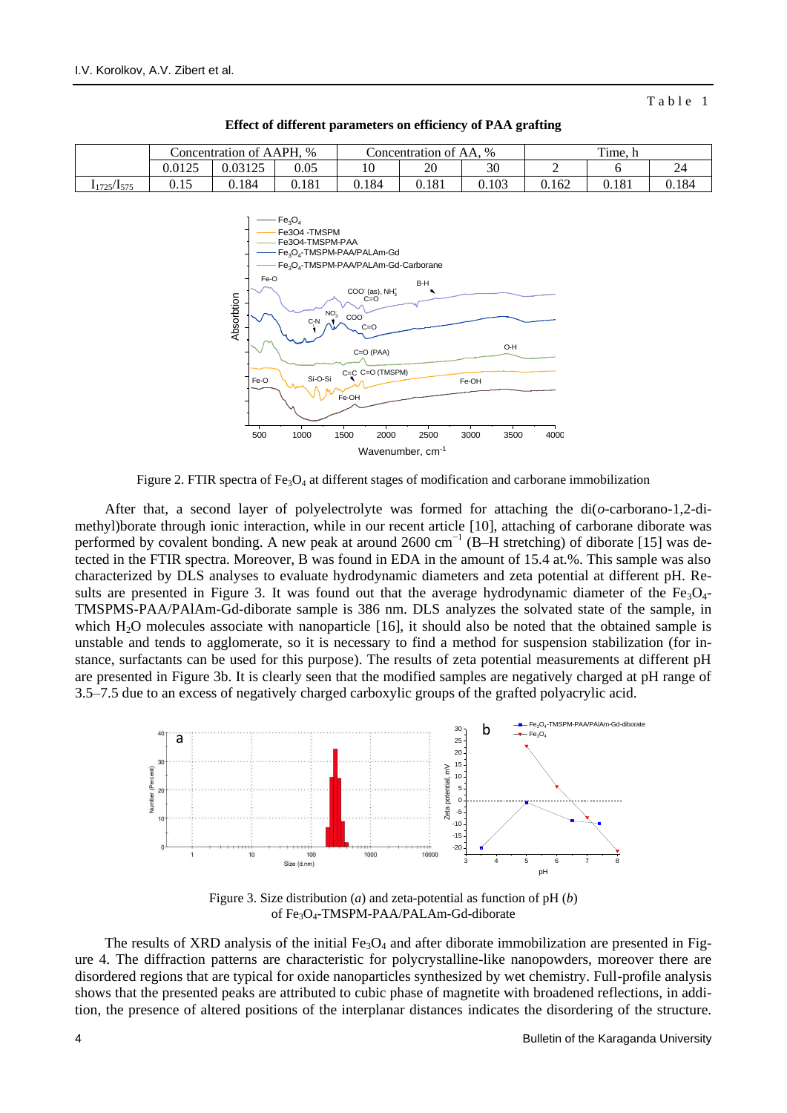Table 1



**Effect of different parameters on efficiency of PAA grafting**



Figure 2. FTIR spectra of  $Fe<sub>3</sub>O<sub>4</sub>$  at different stages of modification and carborane immobilization

After that, a second layer of polyelectrolyte was formed for attaching the di(*o*-carborano-1,2-dimethyl)borate through ionic interaction, while in our recent article [10], attaching of carborane diborate was performed by covalent bonding. A new peak at around 2600 cm<sup>-1</sup> (B–H stretching) of diborate [15] was detected in the FTIR spectra. Moreover, B was found in EDA in the amount of 15.4 at.%. This sample was also characterized by DLS analyses to evaluate hydrodynamic diameters and zeta potential at different pH. Results are presented in Figure 3. It was found out that the average hydrodynamic diameter of the  $Fe<sub>3</sub>O<sub>4</sub>$ TMSPMS-PAA/PAlAm-Gd-diborate sample is 386 nm. DLS analyzes the solvated state of the sample, in which H<sub>2</sub>O molecules associate with nanoparticle [16], it should also be noted that the obtained sample is unstable and tends to agglomerate, so it is necessary to find a method for suspension stabilization (for instance, surfactants can be used for this purpose). The results of zeta potential measurements at different pH are presented in Figure 3b. It is clearly seen that the modified samples are negatively charged at pH range of 3.5–7.5 due to an excess of negatively charged carboxylic groups of the grafted polyacrylic acid.



Figure 3. Size distribution (*a*) and zeta-potential as function of pH (*b*) of Fe<sub>3</sub>O<sub>4</sub>-TMSPM-PAA/PALAm-Gd-diborate

The results of XRD analysis of the initial  $Fe<sub>3</sub>O<sub>4</sub>$  and after diborate immobilization are presented in Figure 4. The diffraction patterns are characteristic for polycrystalline-like nanopowders, moreover there are disordered regions that are typical for oxide nanoparticles synthesized by wet chemistry. Full-profile analysis shows that the presented peaks are attributed to cubic phase of magnetite with broadened reflections, in addition, the presence of altered positions of the interplanar distances indicates the disordering of the structure.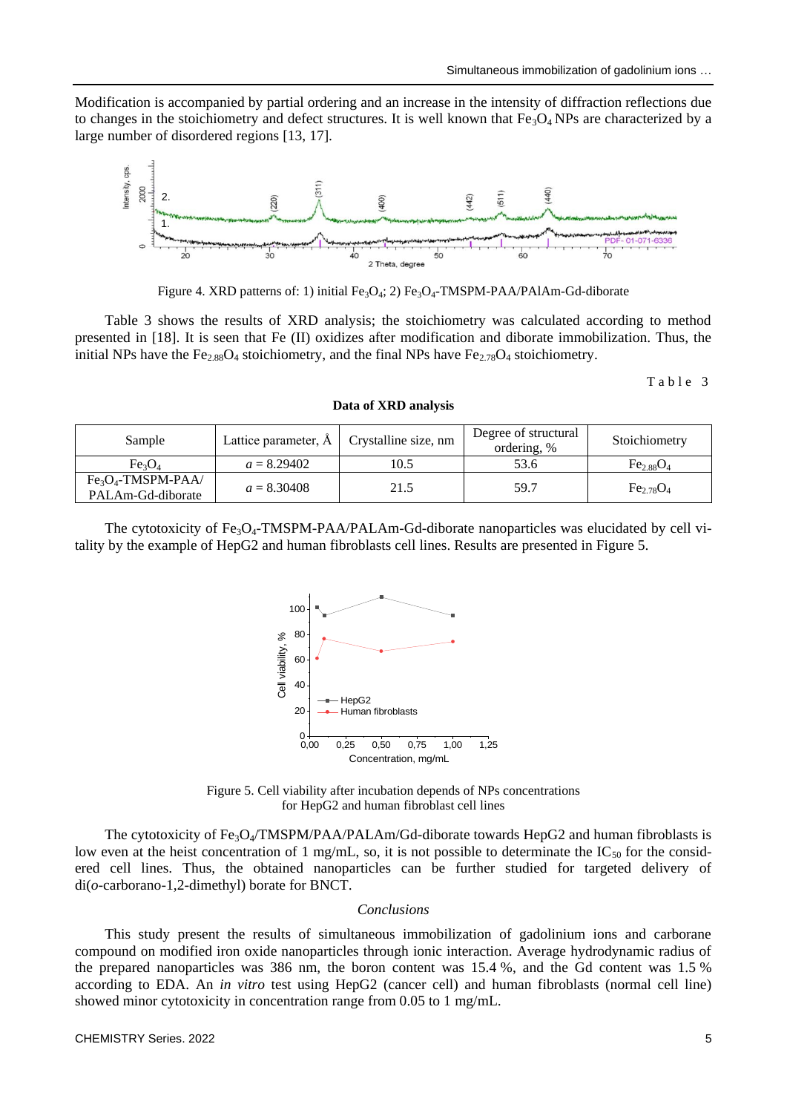Modification is accompanied by partial ordering and an increase in the intensity of diffraction reflections due to changes in the stoichiometry and defect structures. It is well known that  $Fe<sub>3</sub>O<sub>4</sub> NPs$  are characterized by a large number of disordered regions [13, 17].



Figure 4. XRD patterns of: 1) initial Fe<sub>3</sub>O<sub>4</sub>; 2) Fe<sub>3</sub>O<sub>4</sub>-TMSPM-PAA/PAlAm-Gd-diborate

Table 3 shows the results of XRD analysis; the stoichiometry was calculated according to method presented in [18]. It is seen that Fe (II) oxidizes after modification and diborate immobilization. Thus, the initial NPs have the Fe<sub>2.88</sub>O<sub>4</sub> stoichiometry, and the final NPs have Fe<sub>2.78</sub>O<sub>4</sub> stoichiometry.

Table 3

**Data of XRD analysis**

| Sample                         |               | Lattice parameter, $\AA$   Crystalline size, nm | Degree of structural<br>ordering, % | Stoichiometry  |
|--------------------------------|---------------|-------------------------------------------------|-------------------------------------|----------------|
| Fe <sub>3</sub> O <sub>4</sub> | $a = 8.29402$ | 10.5                                            | 53.6                                | $Fe_{2.88}O_4$ |
| $Fe3O4$ -TMSPM-PAA/            | $a = 8.30408$ | 21.5                                            | 59.7                                | $Fe_{2.78}O_4$ |
| PALAm-Gd-diborate              |               |                                                 |                                     |                |

The cytotoxicity of  $Fe<sub>3</sub>O<sub>4</sub>-TMSPM-PAA/PALAm-Gd-diborate nanoparticles was elucidated by cell via$ tality by the example of HepG2 and human fibroblasts cell lines. Results are presented in Figure 5.



Figure 5. Cell viability after incubation depends of NPs concentrations for HepG2 and human fibroblast cell lines

The cytotoxicity of  $Fe_3O_4/TMSPM/PAA/PALAm/Gd-diborate$  towards HepG2 and human fibroblasts is low even at the heist concentration of 1 mg/mL, so, it is not possible to determinate the  $IC_{50}$  for the considered cell lines. Thus, the obtained nanoparticles can be further studied for targeted delivery of di(*o*-carborano-1,2-dimethyl) borate for BNCT.

#### *Conclusions*

This study present the results of simultaneous immobilization of gadolinium ions and carborane compound on modified iron oxide nanoparticles through ionic interaction. Average hydrodynamic radius of the prepared nanoparticles was 386 nm, the boron content was 15.4 %, and the Gd content was 1.5 % according to EDA. An *in vitro* test using HepG2 (cancer cell) and human fibroblasts (normal cell line) showed minor cytotoxicity in concentration range from 0.05 to 1 mg/mL.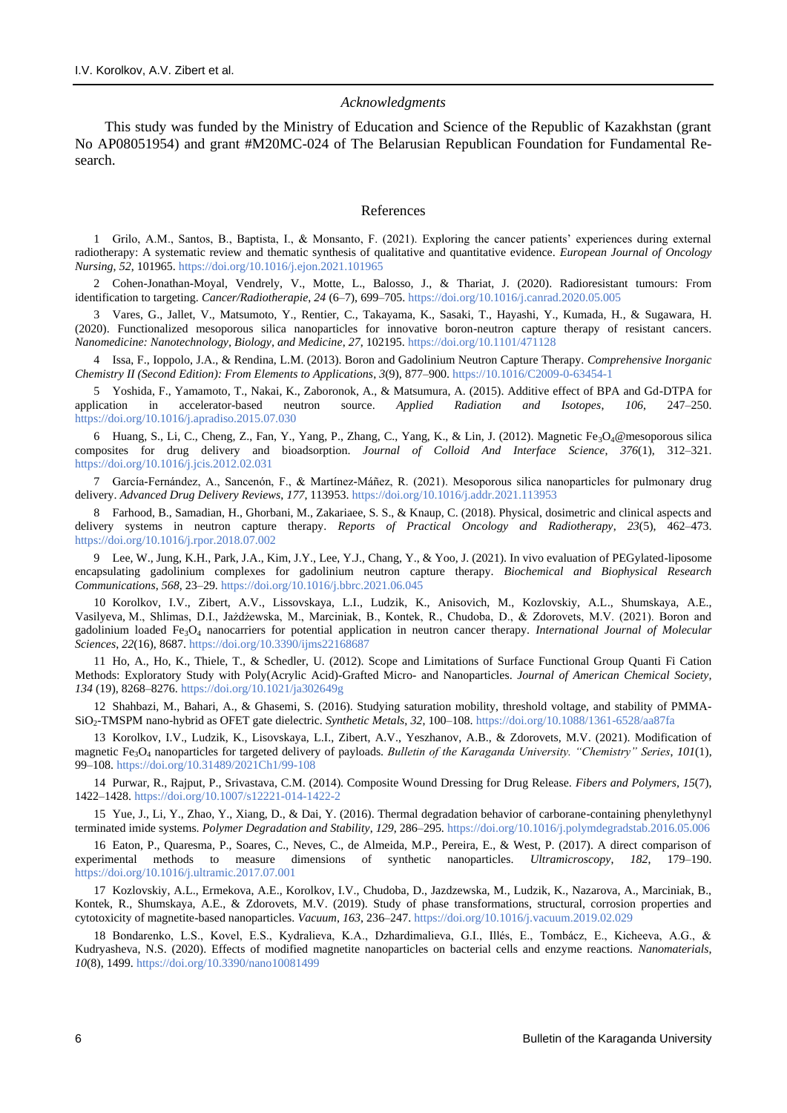#### *Acknowledgments*

This study was funded by the Ministry of Education and Science of the Republic of Kazakhstan (grant No AP08051954) and grant #M20MC-024 of The Belarusian Republican Foundation for Fundamental Research.

#### References

1 Grilo, A.M., Santos, B., Baptista, I., & Monsanto, F. (2021). Exploring the cancer patients' experiences during external radiotherapy: A systematic review and thematic synthesis of qualitative and quantitative evidence. *European Journal of Oncology Nursing*, *52*, 101965.<https://doi.org/10.1016/j.ejon.2021.101965>

2 Cohen-Jonathan-Moyal, Vendrely, V., Motte, L., Balosso, J., & Thariat, J. (2020). Radioresistant tumours: From identification to targeting. *Cancer/Radiotherapie*, *24* (6–7), 699–705.<https://doi.org/10.1016/j.canrad.2020.05.005>

3 Vares, G., Jallet, V., Matsumoto, Y., Rentier, C., Takayama, K., Sasaki, T., Hayashi, Y., Kumada, H., & Sugawara, H. (2020). Functionalized mesoporous silica nanoparticles for innovative boron-neutron capture therapy of resistant cancers. *Nanomedicine: Nanotechnology, Biology, and Medicine*, *27*, 102195. <https://doi.org/10.1101/471128>

4 Issa, F., Ioppolo, J.A., & Rendina, L.M. (2013). Boron and Gadolinium Neutron Capture Therapy. *Comprehensive Inorganic Chemistry II (Second Edition): From Elements to Applications*, *3*(9), 877–900. [https://10.1016/C2009-0-63454-1](https://10.0.3.248/C2009-0-63454-1)

5 Yoshida, F., Yamamoto, T., Nakai, K., Zaboronok, A., & Matsumura, A. (2015). Additive effect of BPA and Gd-DTPA for application in accelerator-based neutron source. *Applied Radiation and Isotopes*, *106*, 247–250. <https://doi.org/10.1016/j.apradiso.2015.07.030>

6 Huang, S., Li, C., Cheng, Z., Fan, Y., Yang, P., Zhang, C., Yang, K., & Lin, J. (2012). Magnetic Fe<sub>3</sub>O<sub>4</sub>@mesoporous silica composites for drug delivery and bioadsorption. *Journal of Colloid And Interface Science*, *376*(1), 312–321. <https://doi.org/10.1016/j.jcis.2012.02.031>

7 García-Fernández, A., Sancenón, F., & Martínez-Máñez, R. (2021). Mesoporous silica nanoparticles for pulmonary drug delivery. *Advanced Drug Delivery Reviews*, *177*, 113953[. https://doi.org/10.1016/j.addr.2021.113953](https://doi.org/10.1016/j.addr.2021.113953)

8 Farhood, B., Samadian, H., Ghorbani, M., Zakariaee, S. S., & Knaup, C. (2018). Physical, dosimetric and clinical aspects and delivery systems in neutron capture therapy. *Reports of Practical Oncology and Radiotherapy*, *23*(5), 462–473. <https://doi.org/10.1016/j.rpor.2018.07.002>

9 Lee, W., Jung, K.H., Park, J.A., Kim, J.Y., Lee, Y.J., Chang, Y., & Yoo, J. (2021). In vivo evaluation of PEGylated-liposome encapsulating gadolinium complexes for gadolinium neutron capture therapy. *Biochemical and Biophysical Research Communications*, *568*, 23–29. <https://doi.org/10.1016/j.bbrc.2021.06.045>

10 Korolkov, I.V., Zibert, A.V., Lissovskaya, L.I., Ludzik, K., Anisovich, M., Kozlovskiy, A.L., Shumskaya, A.E., Vasilyeva, M., Shlimas, D.I., Jażdżewska, M., Marciniak, B., Kontek, R., Chudoba, D., & Zdorovets, M.V. (2021). Boron and gadolinium loaded Fe3O<sup>4</sup> nanocarriers for potential application in neutron cancer therapy. *International Journal of Molecular Sciences*, *22*(16), 8687.<https://doi.org/10.3390/ijms22168687>

11 Ho, A., Ho, K., Thiele, T., & Schedler, U. (2012). Scope and Limitations of Surface Functional Group Quanti Fi Cation Methods: Exploratory Study with Poly(Acrylic Acid)-Grafted Micro- and Nanoparticles. *Journal of American Chemical Society, 134* (19), 8268–8276.<https://doi.org/10.1021/ja302649g>

12 Shahbazi, M., Bahari, A., & Ghasemi, S. (2016). Studying saturation mobility, threshold voltage, and stability of PMMA-SiO2-TMSPM nano-hybrid as OFET gate dielectric. *Synthetic Metals*, *32*, 100–108.<https://doi.org/10.1088/1361-6528/aa87fa>

13 Korolkov, I.V., Ludzik, K., Lisovskaya, L.I., Zibert, A.V., Yeszhanov, A.B., & Zdorovets, M.V. (2021). Modification of magnetic Fe3O<sup>4</sup> nanoparticles for targeted delivery of payloads. *Bulletin of the Karaganda University. "Chemistry" Series*, *101*(1), 99–108.<https://doi.org/10.31489/2021Ch1/99-108>

14 Purwar, R., Rajput, P., Srivastava, C.M. (2014). Composite Wound Dressing for Drug Release. *Fibers and Polymers, 15*(7), 1422–1428[. https://doi.org/10.1007/s12221-014-1422-2](https://doi.org/10.1007/s12221-014-1422-2)

15 Yue, J., Li, Y., Zhao, Y., Xiang, D., & Dai, Y. (2016). Thermal degradation behavior of carborane-containing phenylethynyl terminated imide systems. *Polymer Degradation and Stability*, *129*, 286–295. <https://doi.org/10.1016/j.polymdegradstab.2016.05.006>

16 Eaton, P., Quaresma, P., Soares, C., Neves, C., de Almeida, M.P., Pereira, E., & West, P. (2017). A direct comparison of experimental methods to measure dimensions of synthetic nanoparticles. *Ultramicroscopy*, *182*, 179–190. <https://doi.org/10.1016/j.ultramic.2017.07.001>

17 Kozlovskiy, A.L., Ermekova, A.E., Korolkov, I.V., Chudoba, D., Jazdzewska, M., Ludzik, K., Nazarova, A., Marciniak, B., Kontek, R., Shumskaya, A.E., & Zdorovets, M.V. (2019). Study of phase transformations, structural, corrosion properties and cytotoxicity of magnetite-based nanoparticles. *Vacuum*, *163*, 236–247[. https://doi.org/10.1016/j.vacuum.2019.02.029](https://doi.org/10.1016/j.vacuum.2019.02.029)

18 Bondarenko, L.S., Kovel, E.S., Kydralieva, K.A., Dzhardimalieva, G.I., Illés, E., Tombácz, E., Kicheeva, A.G., & Kudryasheva, N.S. (2020). Effects of modified magnetite nanoparticles on bacterial cells and enzyme reactions. *Nanomaterials*, *10*(8), 1499. <https://doi.org/10.3390/nano10081499>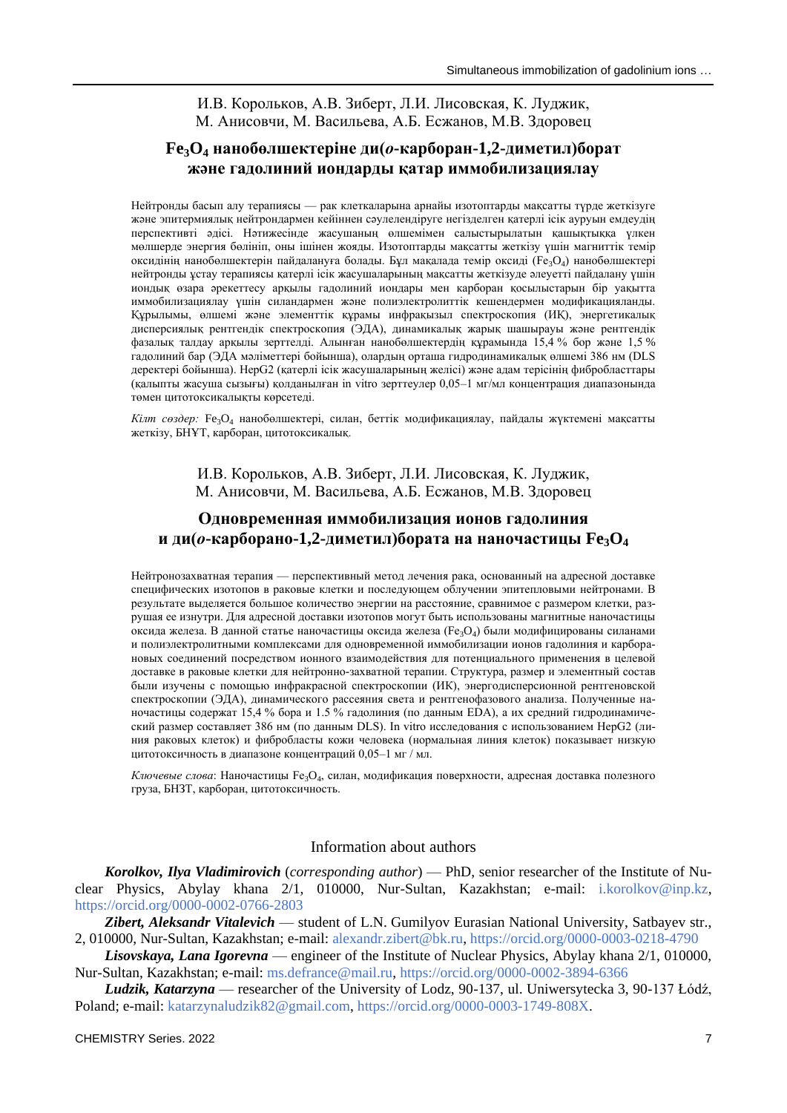## И.В. Корольков, А.В. Зиберт, Л.И. Лисовская, К. Луджик, М. Анисовчи, М. Васильева, А.Б. Есжанов, М.В. Здоровец

## **Fe3O<sup>4</sup> нанобөлшектеріне ди(***о***-карборан-1,2-диметил)борат және гадолиний иондарды қатар иммобилизациялау**

Нейтронды басып алу терапиясы — рак клеткаларына арнайы изотоптарды мақсатты түрде жеткізуге және эпитермиялық нейтрондармен кейіннен сәулелендіруге негізделген қатерлі ісік ауруын емдеудің перспективті әдісі. Нәтижесінде жасушаның өлшемімен салыстырылатын қашықтыққа үлкен мөлшерде энергия бөлініп, оны ішінен жояды. Изотоптарды мақсатты жеткізу үшін магниттік темір оксидінің нанобөлшектерін пайдалануға болады. Бұл мақалада темір оксиді (Fe3O4) нанобөлшектері нейтронды ұстау терапиясы қатерлі ісік жасушаларының мақсатты жеткізуде әлеуетті пайдалану үшін иондық өзара әрекеттесу арқылы гадолиний иондары мен карборан қосылыстарын бір уақытта иммобилизациялау үшін силандармен және полиэлектролиттік кешендермен модификацияланды. Құрылымы, өлшемі және элементтік құрамы инфрақызыл спектроскопия (ИҚ), энергетикалық дисперсиялық рентгендік спектроскопия (ЭДА), динамикалық жарық шашырауы және рентгендік фазалық талдау арқылы зерттелді. Алынған нанобөлшектердің құрамында 15,4 % бор және 1,5 % гадолиний бар (ЭДА мәліметтері бойынша), олардың орташа гидродинамикалық өлшемі 386 нм (DLS деректері бойынша). HepG2 (қатерлі ісік жасушаларының желісі) және адам терісінің фибробласттары (қалыпты жасуша сызығы) қолданылған in vitro зерттеулер 0,05–1 мг/мл концентрация диапазонында төмен цитотоксикалықты көрсетеді.

*Кілт сөздер:* Fe3O<sup>4</sup> нанобөлшектері, силан, беттік модификациялау, пайдалы жүктемені мақсатты жеткізу, БНҰТ, карборан, цитотоксикалық.

> И.В. Корольков, А.В. Зиберт, Л.И. Лисовская, К. Луджик, М. Анисовчи, М. Васильева, А.Б. Есжанов, М.В. Здоровец

## **Одновременная иммобилизация ионов гадолиния и ди(***о***-карборано-1,2-диметил)бората на наночастицы Fe3O<sup>4</sup>**

Нейтронозахватная терапия — перспективный метод лечения рака, основанный на адресной доставке специфических изотопов в раковые клетки и последующем облучении эпитепловыми нейтронами. В результате выделяется большое количество энергии на расстояние, сравнимое с размером клетки, разрушая ее изнутри. Для адресной доставки изотопов могут быть использованы магнитные наночастицы оксида железа. В данной статье наночастицы оксида железа (Fe3O4) были модифицированы силанами и полиэлектролитными комплексами для одновременной иммобилизации ионов гадолиния и карборановых соединений посредством ионного взаимодействия для потенциального применения в целевой доставке в раковые клетки для нейтронно-захватной терапии. Структура, размер и элементный состав были изучены с помощью инфракрасной спектроскопии (ИК), энергодисперсионной рентгеновской спектроскопии (ЭДА), динамического рассеяния света и рентгенофазового анализа. Полученные наночастицы содержат 15,4 % бора и 1.5 % гадолиния (по данным EDA), а их средний гидродинамический размер составляет 386 нм (по данным DLS). In vitro исследования с использованием HepG2 (линия раковых клеток) и фибробласты кожи человека (нормальная линия клеток) показывает низкую цитотоксичность в диапазоне концентраций 0,05–1 мг / мл.

*Ключевые слова*: Наночастицы Fe3O4, силан, модификация поверхности, адресная доставка полезного груза, БНЗТ, карборан, цитотоксичность.

## Information about authors

*Korolkov, Ilya Vladimirovich* (*corresponding author*) — PhD, senior researcher of the Institute of Nuclear Physics, Abylay khana 2/1, 010000, Nur-Sultan, Kazakhstan; e-mail: [i.korolkov@inp.kz,](mailto:i.korolkov@inp.kz) <https://orcid.org/0000-0002-0766-2803>

*Zibert, Aleksandr Vitalevich* — student of L.N. Gumilyov Eurasian National University, Satbayev str., 2, 010000, Nur-Sultan, Kazakhstan; e-mail: [alexandr.zibert@bk.ru,](mailto:alexandr.zibert@bk.ru)<https://orcid.org/0000-0003-0218-4790>

*Lisovskaya, Lana Igorevna* — engineer of the Institute of Nuclear Physics, Abylay khana 2/1, 010000, Nur-Sultan, Kazakhstan; e-mail: [ms.defrance@mail.ru,](mailto:ms.defrance@mail.ru)<https://orcid.org/0000-0002-3894-6366>

*Ludzik, Katarzyna* — researcher of the University of Lodz, 90-137, ul. Uniwersytecka 3, 90-137 Łódź, Poland; e-mail: [katarzynaludzik82@gmail.com,](mailto:katarzynaludzik82@gmail.com) [https://orcid.org/0000-0003-1749-808X.](https://orcid.org/0000-0003-1749-808X)